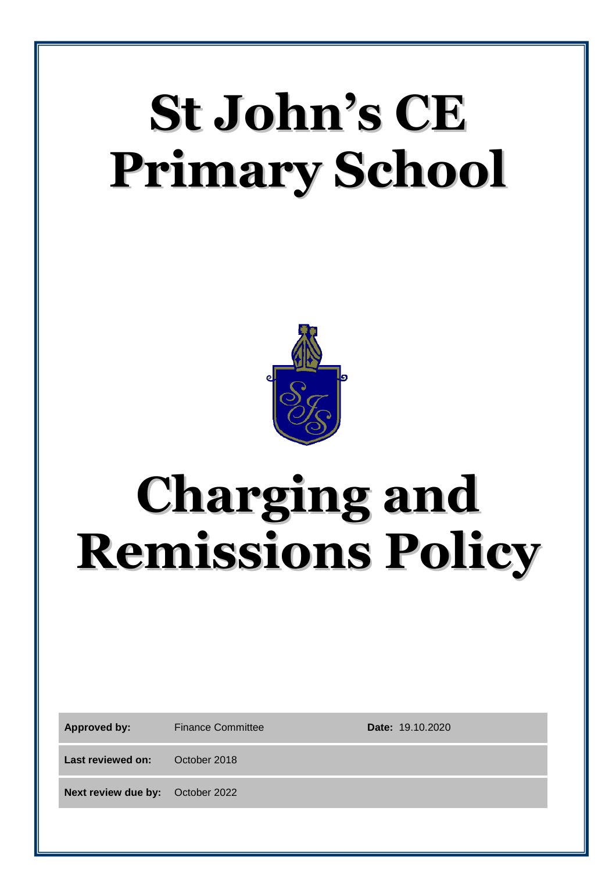# **St John's CE Primary School**



## **Charging and Remissions Policy**

Approved by: Finance Committee **Date:** 19.10.2020

Last reviewed on: October 2018

**Next review due by:** October 2022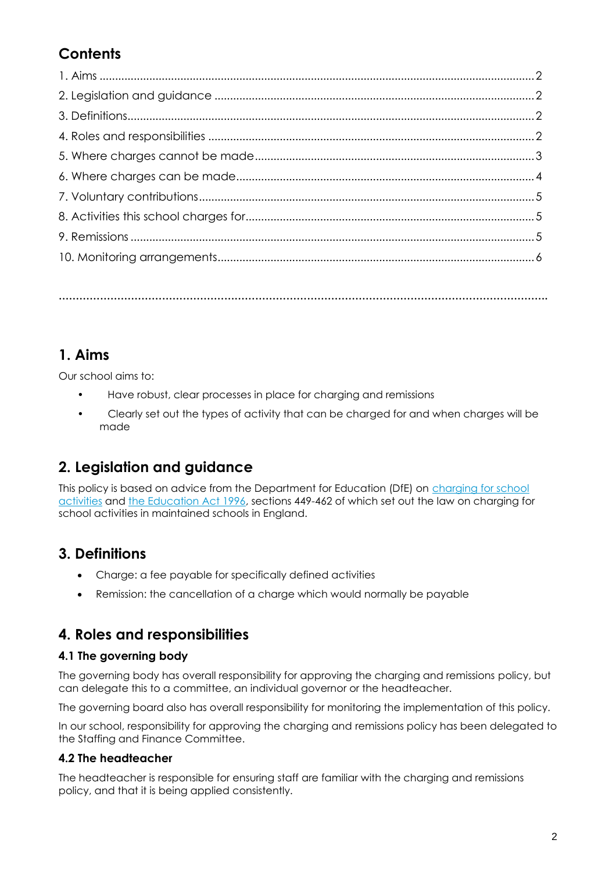## **Contents**

**…………………………………………………………………………………………………………………………….**

## **1. Aims**

Our school aims to:

- Have robust, clear processes in place for charging and remissions
- Clearly set out the types of activity that can be charged for and when charges will be made

## **2. Legislation and guidance**

This policy is based on advice from the Department for Education (DfE) on [charging for school](https://www.gov.uk/government/publications/charging-for-school-activities)  [activities](https://www.gov.uk/government/publications/charging-for-school-activities) and [the Education Act 1996,](http://www.legislation.gov.uk/ukpga/1996/56/part/VI/chapter/III) sections 449-462 of which set out the law on charging for school activities in maintained schools in England.

## **3. Definitions**

- Charge: a fee payable for specifically defined activities
- Remission: the cancellation of a charge which would normally be payable

## **4. Roles and responsibilities**

#### **4.1 The governing body**

The governing body has overall responsibility for approving the charging and remissions policy, but can delegate this to a committee, an individual governor or the headteacher.

The governing board also has overall responsibility for monitoring the implementation of this policy.

In our school, responsibility for approving the charging and remissions policy has been delegated to the Staffing and Finance Committee.

#### **4.2 The headteacher**

The headteacher is responsible for ensuring staff are familiar with the charging and remissions policy, and that it is being applied consistently.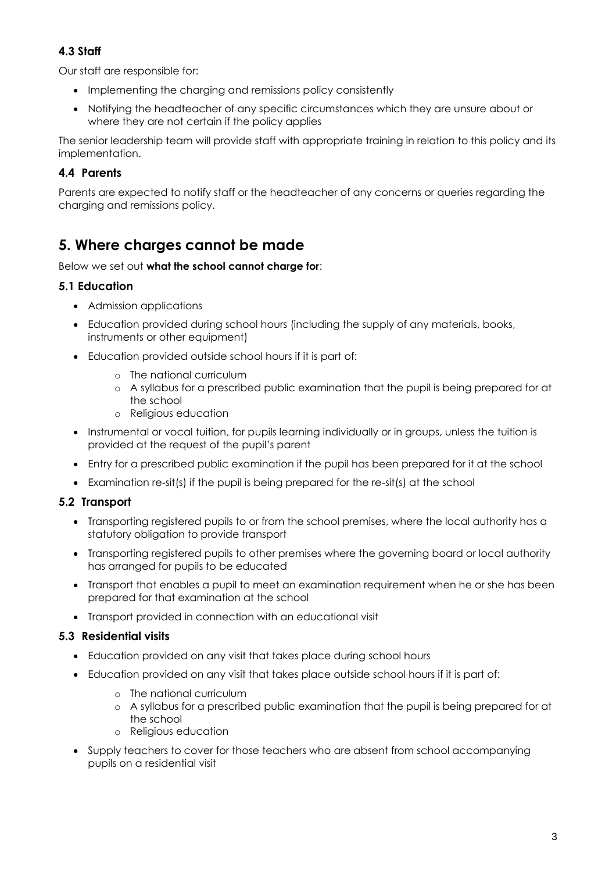#### **4.3 Staff**

Our staff are responsible for:

- Implementing the charging and remissions policy consistently
- Notifying the headteacher of any specific circumstances which they are unsure about or where they are not certain if the policy applies

The senior leadership team will provide staff with appropriate training in relation to this policy and its implementation.

#### **4.4 Parents**

Parents are expected to notify staff or the headteacher of any concerns or queries regarding the charging and remissions policy.

## **5. Where charges cannot be made**

#### Below we set out **what the school cannot charge for**:

#### **5.1 Education**

- Admission applications
- Education provided during school hours (including the supply of any materials, books, instruments or other equipment)
- Education provided outside school hours if it is part of:
	- o The national curriculum
	- o A syllabus for a prescribed public examination that the pupil is being prepared for at the school
	- o Religious education
- Instrumental or vocal tuition, for pupils learning individually or in groups, unless the tuition is provided at the request of the pupil's parent
- Entry for a prescribed public examination if the pupil has been prepared for it at the school
- Examination re-sit(s) if the pupil is being prepared for the re-sit(s) at the school

#### **5.2 Transport**

- Transporting registered pupils to or from the school premises, where the local authority has a statutory obligation to provide transport
- Transporting registered pupils to other premises where the governing board or local authority has arranged for pupils to be educated
- Transport that enables a pupil to meet an examination requirement when he or she has been prepared for that examination at the school
- Transport provided in connection with an educational visit

#### **5.3 Residential visits**

- Education provided on any visit that takes place during school hours
- Education provided on any visit that takes place outside school hours if it is part of:
	- o The national curriculum
	- o A syllabus for a prescribed public examination that the pupil is being prepared for at the school
	- o Religious education
- Supply teachers to cover for those teachers who are absent from school accompanying pupils on a residential visit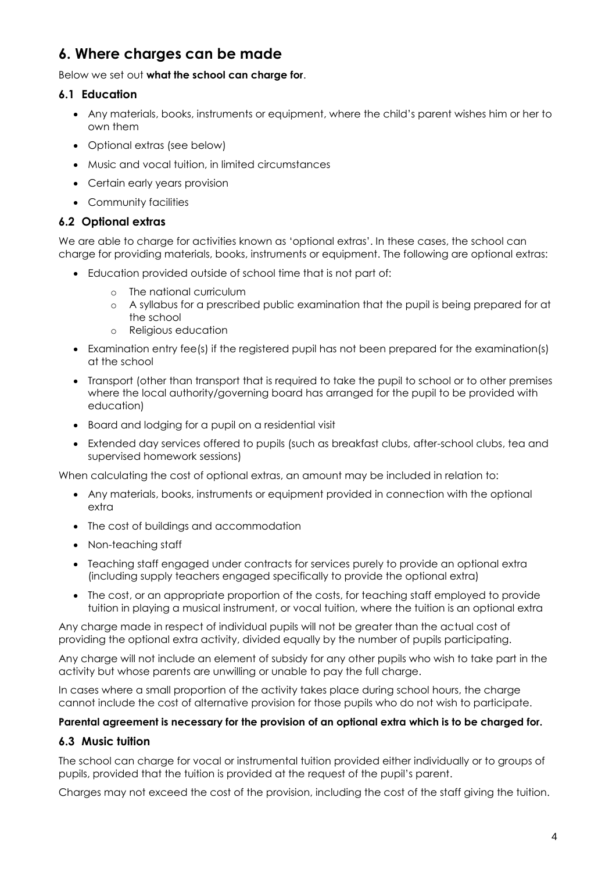## **6. Where charges can be made**

#### Below we set out **what the school can charge for**.

#### **6.1 Education**

- Any materials, books, instruments or equipment, where the child's parent wishes him or her to own them
- Optional extras (see below)
- Music and vocal tuition, in limited circumstances
- Certain early years provision
- Community facilities

#### **6.2 Optional extras**

We are able to charge for activities known as 'optional extras'. In these cases, the school can charge for providing materials, books, instruments or equipment. The following are optional extras:

- Education provided outside of school time that is not part of:
	- o The national curriculum
	- o A syllabus for a prescribed public examination that the pupil is being prepared for at the school
	- o Religious education
- Examination entry fee(s) if the registered pupil has not been prepared for the examination(s) at the school
- Transport (other than transport that is required to take the pupil to school or to other premises where the local authority/governing board has arranged for the pupil to be provided with education)
- Board and lodging for a pupil on a residential visit
- Extended day services offered to pupils (such as breakfast clubs, after-school clubs, tea and supervised homework sessions)

When calculating the cost of optional extras, an amount may be included in relation to:

- Any materials, books, instruments or equipment provided in connection with the optional extra
- The cost of buildings and accommodation
- Non-teaching staff
- Teaching staff engaged under contracts for services purely to provide an optional extra (including supply teachers engaged specifically to provide the optional extra)
- The cost, or an appropriate proportion of the costs, for teaching staff employed to provide tuition in playing a musical instrument, or vocal tuition, where the tuition is an optional extra

Any charge made in respect of individual pupils will not be greater than the actual cost of providing the optional extra activity, divided equally by the number of pupils participating.

Any charge will not include an element of subsidy for any other pupils who wish to take part in the activity but whose parents are unwilling or unable to pay the full charge.

In cases where a small proportion of the activity takes place during school hours, the charge cannot include the cost of alternative provision for those pupils who do not wish to participate.

#### **Parental agreement is necessary for the provision of an optional extra which is to be charged for.**

#### **6.3 Music tuition**

The school can charge for vocal or instrumental tuition provided either individually or to groups of pupils, provided that the tuition is provided at the request of the pupil's parent.

Charges may not exceed the cost of the provision, including the cost of the staff giving the tuition.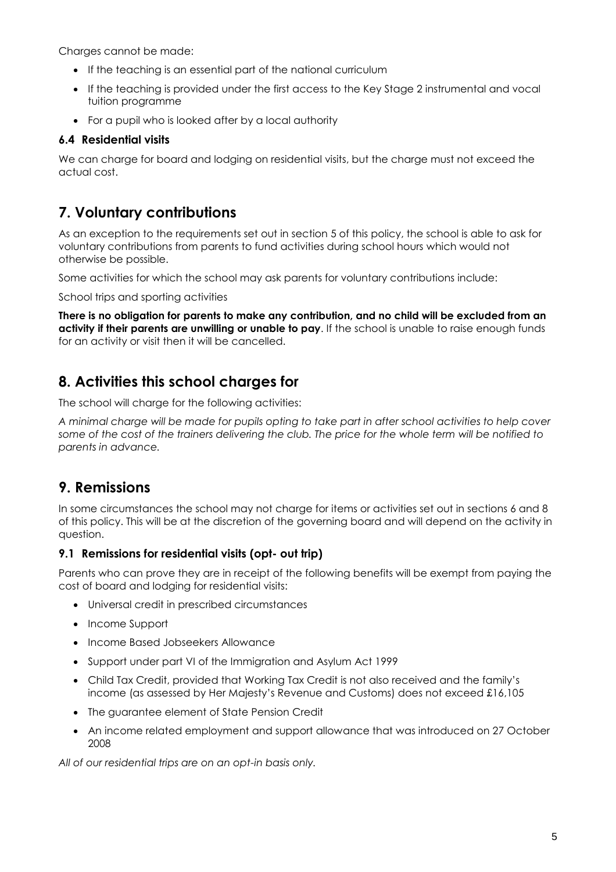Charges cannot be made:

- If the teaching is an essential part of the national curriculum
- If the teaching is provided under the first access to the Key Stage 2 instrumental and vocal tuition programme
- For a pupil who is looked after by a local authority

#### **6.4 Residential visits**

We can charge for board and lodging on residential visits, but the charge must not exceed the actual cost.

### **7. Voluntary contributions**

As an exception to the requirements set out in section 5 of this policy, the school is able to ask for voluntary contributions from parents to fund activities during school hours which would not otherwise be possible.

Some activities for which the school may ask parents for voluntary contributions include:

School trips and sporting activities

**There is no obligation for parents to make any contribution, and no child will be excluded from an activity if their parents are unwilling or unable to pay**. If the school is unable to raise enough funds for an activity or visit then it will be cancelled.

## **8. Activities this school charges for**

The school will charge for the following activities:

*A minimal charge will be made for pupils opting to take part in after school activities to help cover some of the cost of the trainers delivering the club. The price for the whole term will be notified to parents in advance.*

### **9. Remissions**

In some circumstances the school may not charge for items or activities set out in sections 6 and 8 of this policy. This will be at the discretion of the governing board and will depend on the activity in question.

#### **9.1 Remissions for residential visits (opt- out trip)**

Parents who can prove they are in receipt of the following benefits will be exempt from paying the cost of board and lodging for residential visits:

- Universal credit in prescribed circumstances
- Income Support
- Income Based Jobseekers Allowance
- Support under part VI of the Immigration and Asylum Act 1999
- Child Tax Credit, provided that Working Tax Credit is not also received and the family's income (as assessed by Her Majesty's Revenue and Customs) does not exceed £16,105
- The guarantee element of State Pension Credit
- An income related employment and support allowance that was introduced on 27 October 2008

*All of our residential trips are on an opt-in basis only.*